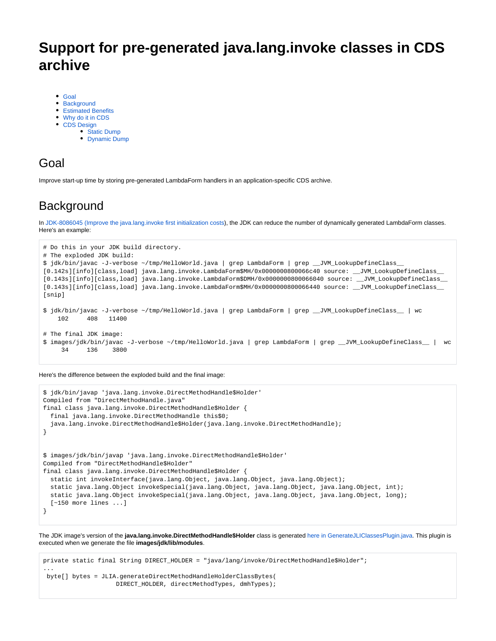# **Support for pre-generated java.lang.invoke classes in CDS archive**

- [Goal](#page-0-0)
- [Background](#page-0-1)
- **[Estimated Benefits](#page-1-0)**
- [Why do it in CDS](#page-1-1)
- [CDS Design](#page-2-0)
	- [Static Dump](#page-2-1)
		- [Dynamic Dump](#page-2-2)

## <span id="page-0-0"></span>Goal

Improve start-up time by storing pre-generated LambdaForm handlers in an application-specific CDS archive.

## <span id="page-0-1"></span>**Background**

In [JDK-8086045 \(Improve the java.lang.invoke first initialization costs\)](https://bugs.openjdk.java.net/browse/JDK-8086045), the JDK can reduce the number of dynamically generated LambdaForm classes. Here's an example:

```
# Do this in your JDK build directory.
# The exploded JDK build:
$ jdk/bin/javac -J-verbose ~/tmp/HelloWorld.java | grep LambdaForm | grep __JVM_LookupDefineClass__ 
[0.142s][info][class,load] java.lang.invoke.LambdaForm$MH/0x0000000800066c40 source: __JVM_LookupDefineClass__
[0.143s][info][class,load] java.lang.invoke.LambdaForm$DMH/0x0000000800066040 source: __JVM_LookupDefineClass__
[0.143s][info][class,load] java.lang.invoke.LambdaForm$MH/0x0000000800066440 source: __JVM_LookupDefineClass__
[snip]
$ jdk/bin/javac -J-verbose ~/tmp/HelloWorld.java | grep LambdaForm | grep __JVM_LookupDefineClass__ | wc
    102 408 11400
# The final JDK image: 
$ images/jdk/bin/javac -J-verbose ~/tmp/HelloWorld.java | grep LambdaForm | grep __JVM_LookupDefineClass__ | wc
     34 136 3800
```
Here's the difference between the exploded build and the final image:

```
$ jdk/bin/javap 'java.lang.invoke.DirectMethodHandle$Holder'
Compiled from "DirectMethodHandle.java"
final class java.lang.invoke.DirectMethodHandle$Holder {
  final java.lang.invoke.DirectMethodHandle this$0;
   java.lang.invoke.DirectMethodHandle$Holder(java.lang.invoke.DirectMethodHandle);
}
$ images/jdk/bin/javap 'java.lang.invoke.DirectMethodHandle$Holder'
Compiled from "DirectMethodHandle$Holder"
final class java.lang.invoke.DirectMethodHandle$Holder {
  static int invokeInterface(java.lang.Object, java.lang.Object, java.lang.Object);
  static java.lang.Object invokeSpecial(java.lang.Object, java.lang.Object, java.lang.Object, int);
   static java.lang.Object invokeSpecial(java.lang.Object, java.lang.Object, java.lang.Object, long);
   [~150 more lines ...]
}
```
The JDK image's version of the **java.lang.invoke.DirectMethodHandle\$Holder** class is generated [here in GenerateJLIClassesPlugin.java](http://hg.openjdk.java.net/jdk/jdk/file/6ab7805df10d/src/jdk.jlink/share/classes/jdk/tools/jlink/internal/plugins/http://hg.openjdk.java.net/jdk/jdk/file/6ab7805df10d/src/jdk.jlink/share/classes/jdk/tools/jlink/internal/plugins/GenerateJLIClassesPlugin.java#l383#l383). This plugin is executed when we generate the file **images/jdk/lib/modules**.

```
private static final String DIRECT_HOLDER = "java/lang/invoke/DirectMethodHandle$Holder";
...
 byte[] bytes = JLIA.generateDirectMethodHandleHolderClassBytes(
                     DIRECT_HOLDER, directMethodTypes, dmhTypes);
```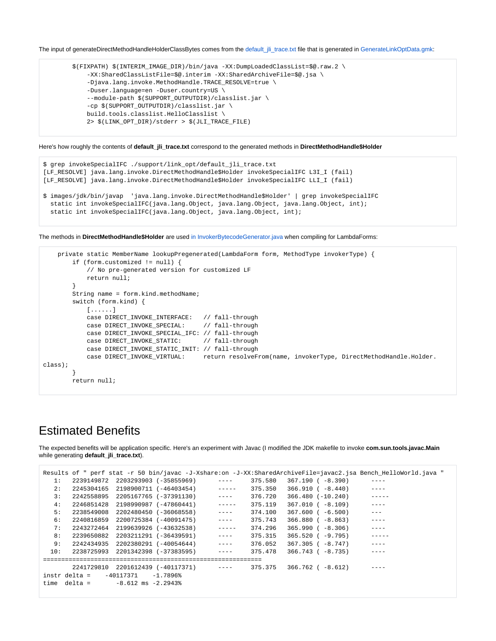The input of generateDirectMethodHandleHolderClassBytes comes from the [default\\_jli\\_trace.txt](http://cr.openjdk.java.net/~iklam/design/8247536/default_jli_trace.txt) file that is generated in [GenerateLinkOptData.gmk:](http://hg.openjdk.java.net/jdk/jdk/file/06bc0ab0a060/make/GenerateLinkOptData.gmk#l76)

```
 $(FIXPATH) $(INTERIM_IMAGE_DIR)/bin/java -XX:DumpLoadedClassList=$@.raw.2 \
    -XX:SharedClassListFile=$@.interim -XX:SharedArchiveFile=$@.jsa \
    -Djava.lang.invoke.MethodHandle.TRACE_RESOLVE=true \
    -Duser.language=en -Duser.country=US \
    --module-path $(SUPPORT_OUTPUTDIR)/classlist.jar \
     -cp $(SUPPORT_OUTPUTDIR)/classlist.jar \
    build.tools.classlist.HelloClasslist \
    2> $(LINK_OPT_DIR)/stderr > $(JLI_TRACE_FILE)
```
Here's how roughly the contents of **default\_jli\_trace.txt** correspond to the generated methods in **DirectMethodHandle\$Holder**

```
$ grep invokeSpecialIFC ./support/link_opt/default_jli_trace.txt
[LF_RESOLVE] java.lang.invoke.DirectMethodHandle$Holder invokeSpecialIFC L3I_I (fail)
[LF_RESOLVE] java.lang.invoke.DirectMethodHandle$Holder invokeSpecialIFC LLI_I (fail)
$ images/jdk/bin/javap 'java.lang.invoke.DirectMethodHandle$Holder' | grep invokeSpecialIFC
  static int invokeSpecialIFC(java.lang.Object, java.lang.Object, java.lang.Object, int);
  static int invokeSpecialIFC(java.lang.Object, java.lang.Object, int);
```
The methods in **DirectMethodHandle\$Holder** are used [in InvokerBytecodeGenerator.java](http://hg.openjdk.java.net/jdk/jdk/file/6ab7805df10d/src/java.base/share/classes/java/lang/invoke/InvokerBytecodeGenerator.java#l704) when compiling for LambdaForms:

```
 private static MemberName lookupPregenerated(LambdaForm form, MethodType invokerType) {
        if (form.customized != null) {
            // No pre-generated version for customized LF
            return null;
 }
        String name = form.kind.methodName; 
        switch (form.kind) {
            [......]
            case DIRECT_INVOKE_INTERFACE: // fall-through
           case DIRECT INVOKE SPECIAL: // fall-through
            case DIRECT_INVOKE_SPECIAL_IFC: // fall-through
           case DIRECT INVOKE STATIC: // fall-through
           case DIRECT INVOKE STATIC INIT: // fall-through
            case DIRECT_INVOKE_VIRTUAL: return resolveFrom(name, invokerType, DirectMethodHandle.Holder.
class);
        }
        return null;
```
### <span id="page-1-0"></span>Estimated Benefits

The expected benefits will be application specific. Here's an experiment with Javac (I modified the JDK makefile to invoke **com.sun.tools.javac.Main** while generating **default\_jli\_trace.txt**).

```
Results of " perf stat -r 50 bin/javac -J-Xshare:on -J-XX:SharedArchiveFile=javac2.jsa Bench HelloWorld.java "
   1: 2239149872 2203293903 (-35855969) ---- 375.580 367.190 ( -8.390) ---- 
   2: 2245304165 2198900711 (-46403454) ----- 375.350 366.910 ( -8.440) ---- 
   3: 2242558895 2205167765 (-37391130) ---- 376.720 366.480 (-10.240) ----- 
   4: 2246851428 2198990987 (-47860441) ----- 375.119 367.010 ( -8.109) ---- 
  5: 2238549008 2202480450 (-36068558) ---- 374.100 367.600 (-6.500) ---<br>6: 2240816859 2200725384 (-40091475) ---- 375.743 366.880 (-8.863) ---
   6: 2240816859 2200725384 (-40091475) ---- 375.743 366.880 ( -8.863) ---- 
   7: 2243272464 2199639926 (-43632538) ----- 374.296 365.990 ( -8.306) ---- 
   8: 2239650882 2203211291 (-36439591) ---- 375.315 365.520 ( -9.795) ----- 
   9: 2242434935 2202380291 (-40054644) ---- 376.052 367.305 ( -8.747) ---- 
  10: 2238725993 2201342398 (-37383595) ---- 375.478 366.743 ( -8.735) ---- 
============================================================
        2241729810 2201612439 (-40117371) ---- 375.375 366.762 ( -8.612) ---- 
instr delta = -40117371 -1.7896%time delta = -8.612 ms -2.2943<sup>*</sup>
```